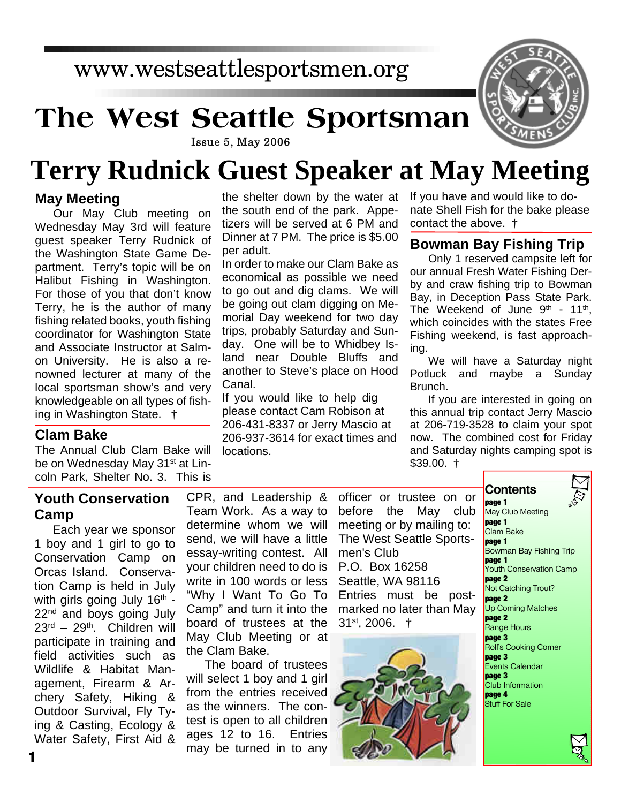# www.westseattlesportsmen.org

# **The West Seattle Sportsman**

#### **Issue 5, May 2006**

# **Terry Rudnick Guest Speaker at May Meeting**

#### **May Meeting**

Our May Club meeting on Wednesday May 3rd will feature guest speaker Terry Rudnick of the Washington State Game Department. Terry's topic will be on Halibut Fishing in Washington. For those of you that don't know Terry, he is the author of many fishing related books, youth fishing coordinator for Washington State and Associate Instructor at Salmon University. He is also a renowned lecturer at many of the local sportsman show's and very knowledgeable on all types of fishing in Washington State. †

#### **Clam Bake**

The Annual Club Clam Bake will be on Wednesday May 31<sup>st</sup> at Lincoln Park, Shelter No. 3. This is

the shelter down by the water at the south end of the park. Appetizers will be served at 6 PM and Dinner at 7 PM. The price is \$5.00 per adult.

In order to make our Clam Bake as economical as possible we need to go out and dig clams. We will be going out clam digging on Memorial Day weekend for two day trips, probably Saturday and Sunday. One will be to Whidbey Island near Double Bluffs and another to Steve's place on Hood Canal.

If you would like to help dig please contact Cam Robison at 206-431-8337 or Jerry Mascio at 206-937-3614 for exact times and locations.

If you have and would like to donate Shell Fish for the bake please contact the above. †

#### **Bowman Bay Fishing Trip**

Only 1 reserved campsite left for our annual Fresh Water Fishing Derby and craw fishing trip to Bowman Bay, in Deception Pass State Park. The Weekend of June 9<sup>th</sup> - 11<sup>th</sup>, which coincides with the states Free Fishing weekend, is fast approaching.

We will have a Saturday night Potluck and maybe a Sunday Brunch.

If you are interested in going on this annual trip contact Jerry Mascio at 206-719-3528 to claim your spot now. The combined cost for Friday and Saturday nights camping spot is \$39.00. †

**Contents**

## **Youth Conservation Camp**

Each year we sponsor 1 boy and 1 girl to go to Conservation Camp on Orcas Island. Conservation Camp is held in July with girls going July 16<sup>th</sup> -22<sup>nd</sup> and boys going July  $23<sup>rd</sup> - 29<sup>th</sup>$ . Children will participate in training and field activities such as Wildlife & Habitat Management, Firearm & Archery Safety, Hiking & Outdoor Survival, Fly Tying & Casting, Ecology & Water Safety, First Aid & CPR, and Leadership & Team Work. As a way to determine whom we will send, we will have a little essay-writing contest. All your children need to do is write in 100 words or less "Why I Want To Go To Camp" and turn it into the board of trustees at the May Club Meeting or at the Clam Bake.

The board of trustees will select 1 boy and 1 girl from the entries received as the winners. The contest is open to all children ages 12 to 16. Entries may be turned in to any

officer or trustee on or before the May club meeting or by mailing to: The West Seattle Sportsmen's Club P.O. Box 16258 Seattle, WA 98116 Entries must be postmarked no later than May 31st, 2006. †



**page 1** May Club Meeting **page 1** Clam Bake **page 1** Bowman Bay Fishing Trip **page 1** Youth Conservation Camp **page 2** Not Catching Trout? **page 2** Up Coming Matches **page 2** Range Hours **page 3** Rolf's Cooking Corner **page 3** Events Calendar **page 3** Club Information **page 4** Stuff For Sale

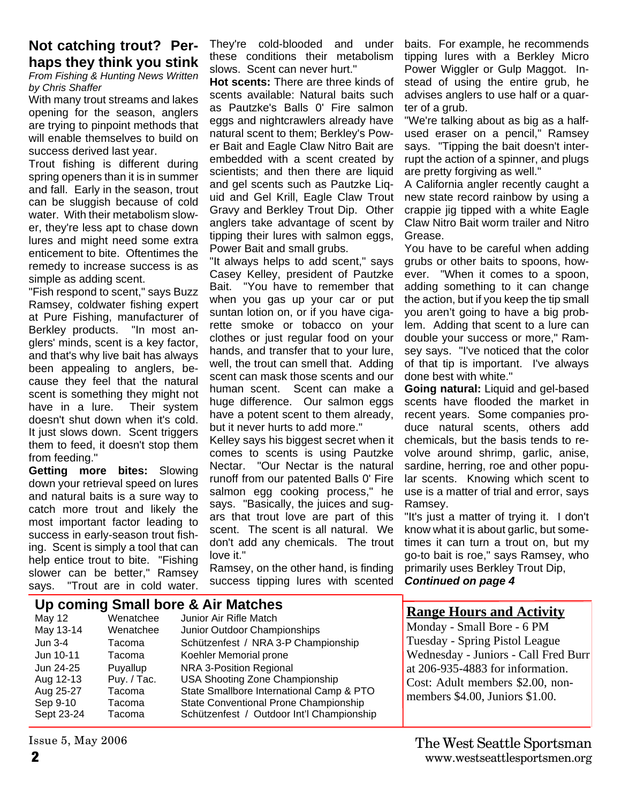#### **Not catching trout? Perhaps they think you stink**

*From Fishing & Hunting News Written by Chris Shaffer*

With many trout streams and lakes opening for the season, anglers are trying to pinpoint methods that will enable themselves to build on success derived last year.

Trout fishing is different during spring openers than it is in summer and fall. Early in the season, trout can be sluggish because of cold water. With their metabolism slower, they're less apt to chase down lures and might need some extra enticement to bite. Oftentimes the remedy to increase success is as simple as adding scent.

"Fish respond to scent," says Buzz Ramsey, coldwater fishing expert at Pure Fishing, manufacturer of Berkley products. "In most anglers' minds, scent is a key factor, and that's why live bait has always been appealing to anglers, because they feel that the natural scent is something they might not have in a lure. Their system doesn't shut down when it's cold. It just slows down. Scent triggers them to feed, it doesn't stop them from feeding."

**Getting more bites:** Slowing down your retrieval speed on lures and natural baits is a sure way to catch more trout and likely the most important factor leading to success in early-season trout fishing. Scent is simply a tool that can help entice trout to bite. "Fishing slower can be better," Ramsey says. "Trout are in cold water.

They're cold-blooded and under these conditions their metabolism slows. Scent can never hurt."

**Hot scents:** There are three kinds of scents available: Natural baits such as Pautzke's Balls 0' Fire salmon eggs and nightcrawlers already have natural scent to them; Berkley's Power Bait and Eagle Claw Nitro Bait are embedded with a scent created by scientists; and then there are liquid and gel scents such as Pautzke Liquid and Gel Krill, Eagle Claw Trout Gravy and Berkley Trout Dip. Other anglers take advantage of scent by tipping their lures with salmon eggs. Power Bait and small grubs.

"It always helps to add scent," says Casey Kelley, president of Pautzke Bait. "You have to remember that when you gas up your car or put suntan lotion on, or if you have cigarette smoke or tobacco on your clothes or just regular food on your hands, and transfer that to your lure, well, the trout can smell that. Adding scent can mask those scents and our human scent. Scent can make a huge difference. Our salmon eggs have a potent scent to them already, but it never hurts to add more."

Kelley says his biggest secret when it comes to scents is using Pautzke Nectar. "Our Nectar is the natural runoff from our patented Balls 0' Fire salmon egg cooking process," he says. "Basically, the juices and sugars that trout love are part of this scent. The scent is all natural. We don't add any chemicals. The trout love it."

Ramsey, on the other hand, is finding success tipping lures with scented baits. For example, he recommends tipping lures with a Berkley Micro Power Wiggler or Gulp Maggot. Instead of using the entire grub, he advises anglers to use half or a quarter of a grub.

"We're talking about as big as a halfused eraser on a pencil," Ramsey says. "Tipping the bait doesn't interrupt the action of a spinner, and plugs are pretty forgiving as well."

A California angler recently caught a new state record rainbow by using a crappie jig tipped with a white Eagle Claw Nitro Bait worm trailer and Nitro Grease.

You have to be careful when adding grubs or other baits to spoons, however. "When it comes to a spoon, adding something to it can change the action, but if you keep the tip small you aren't going to have a big problem. Adding that scent to a lure can double your success or more," Ramsey says. "I've noticed that the color of that tip is important. I've always done best with white."

**Going natural:** Liquid and gel-based scents have flooded the market in recent years. Some companies produce natural scents, others add chemicals, but the basis tends to revolve around shrimp, garlic, anise, sardine, herring, roe and other popular scents. Knowing which scent to use is a matter of trial and error, says Ramsey.

"It's just a matter of trying it. I don't know what it is about garlic, but sometimes it can turn a trout on, but my go-to bait is roe," says Ramsey, who primarily uses Berkley Trout Dip, *Continued on page 4*

|                                                                            | Up coming Small bore & Air Matches                              | <b>Range Hours and Activity</b>                                                                                                                                                                                       |                                                                                                                                                 |
|----------------------------------------------------------------------------|-----------------------------------------------------------------|-----------------------------------------------------------------------------------------------------------------------------------------------------------------------------------------------------------------------|-------------------------------------------------------------------------------------------------------------------------------------------------|
| May 12<br>May 13-14<br>Jun $3-4$                                           | Wenatchee<br>Wenatchee<br>Tacoma                                | Junior Air Rifle Match<br>Junior Outdoor Championships<br>Schützenfest / NRA 3-P Championship                                                                                                                         | Monday - Small Bore - 6 PM<br>Tuesday - Spring Pistol League                                                                                    |
| Jun 10-11<br>Jun 24-25<br>Aug 12-13<br>Aug 25-27<br>Sep 9-10<br>Sept 23-24 | Tacoma<br>Puyallup<br>Puy. / Tac.<br>Tacoma<br>Tacoma<br>Tacoma | Koehler Memorial prone<br>NRA 3-Position Regional<br>USA Shooting Zone Championship<br>State Smallbore International Camp & PTO<br>State Conventional Prone Championship<br>Schützenfest / Outdoor Int'l Championship | Wednesday - Juniors - Call Fred Burr<br>at 206-935-4883 for information.<br>Cost: Adult members \$2.00, non-<br>members \$4.00, Juniors \$1.00. |

Issue 5, May 2006

#### **2** www.westseattlesportsmen.org The West Seattle Sportsman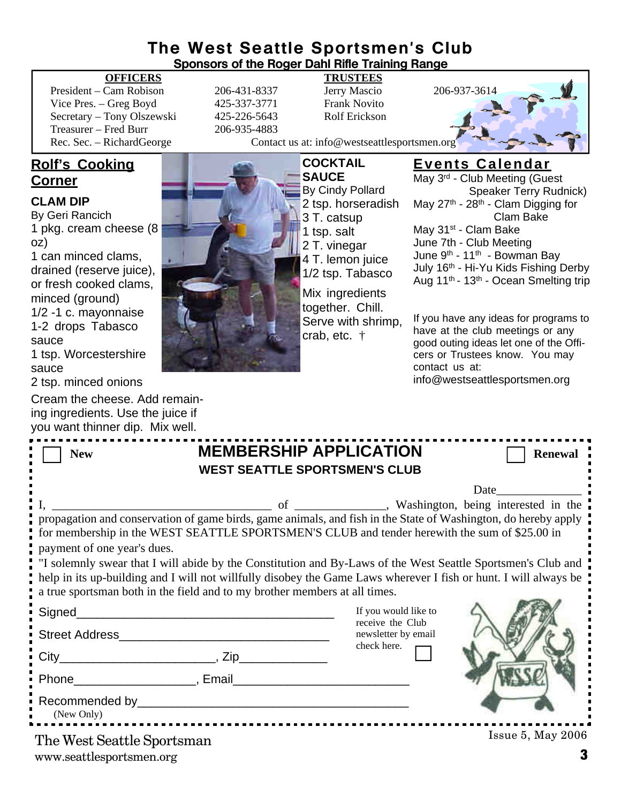#### **The West Seattle Sportsmen's Club Sponsors of the Roger Dahl Rifle Training Range**

#### **OFFICERS TRUSTEES**

President – Cam Robison 206-431-8337 Jerry Mascio 206-937-3614 Vice Pres. – Greg Boyd 425-337-3771 Frank Novito Secretary – Tony Olszewski 425-226-5643 Rolf Erickson Treasurer – Fred Burr 206-935-4883

### **Rolf's Cooking Corner**

#### **CLAM DIP**

By Geri Rancich 1 pkg. cream cheese (8 oz) 1 can minced clams, drained (reserve juice), or fresh cooked clams, minced (ground) 1/2 -1 c. mayonnaise 1-2 drops Tabasco sauce

1 tsp. Worcestershire sauce

2 tsp. minced onions

Cream the cheese. Add remaining ingredients. Use the juice if you want thinner dip. Mix well.

Rec. Sec. – RichardGeorge Contact us at: info@westseattlesportsmen.org

**COCKTAIL SAUCE** By Cindy Pollard 2 tsp. horseradish 3 T. catsup 1 tsp. salt 2 T. vinegar 4 T. lemon juice 1/2 tsp. Tabasco Mix ingredients

together. Chill. Serve with shrimp, crab, etc. †

### **Events Calendar**

May 3rd - Club Meeting (Guest Speaker Terry Rudnick) May 27<sup>th</sup> - 28<sup>th</sup> - Clam Digging for Clam Bake May 31<sup>st</sup> - Clam Bake June 7th - Club Meeting June  $9^{th}$  - 11<sup>th</sup> - Bowman Bay July 16<sup>th</sup> - Hi-Yu Kids Fishing Derby Aug 11th - 13th - Ocean Smelting trip

If you have any ideas for programs to have at the club meetings or any good outing ideas let one of the Officers or Trustees know. You may contact us at: info@westseattlesportsmen.org

| <b>MEMBERSHIP APPLICATION</b><br><b>New</b><br><b>WEST SEATTLE SPORTSMEN'S CLUB</b>                                                                                                                                                                                                                            | <b>Renewal</b>                           |  |  |  |  |
|----------------------------------------------------------------------------------------------------------------------------------------------------------------------------------------------------------------------------------------------------------------------------------------------------------------|------------------------------------------|--|--|--|--|
|                                                                                                                                                                                                                                                                                                                | <b>Date</b>                              |  |  |  |  |
| for membership in the WEST SEATTLE SPORTSMEN'S CLUB and tender herewith the sum of \$25.00 in<br>payment of one year's dues.                                                                                                                                                                                   |                                          |  |  |  |  |
| "I solemnly swear that I will abide by the Constitution and By-Laws of the West Seattle Sportsmen's Club and<br>help in its up-building and I will not willfully disobey the Game Laws wherever I fish or hunt. I will always be<br>a true sportsman both in the field and to my brother members at all times. |                                          |  |  |  |  |
|                                                                                                                                                                                                                                                                                                                | If you would like to<br>receive the Club |  |  |  |  |
|                                                                                                                                                                                                                                                                                                                | newsletter by email<br>check here.       |  |  |  |  |
|                                                                                                                                                                                                                                                                                                                |                                          |  |  |  |  |
|                                                                                                                                                                                                                                                                                                                |                                          |  |  |  |  |
| (New Only)                                                                                                                                                                                                                                                                                                     |                                          |  |  |  |  |
| The West Seattle Sportsman                                                                                                                                                                                                                                                                                     | $I$ ssue 5, May 2006                     |  |  |  |  |